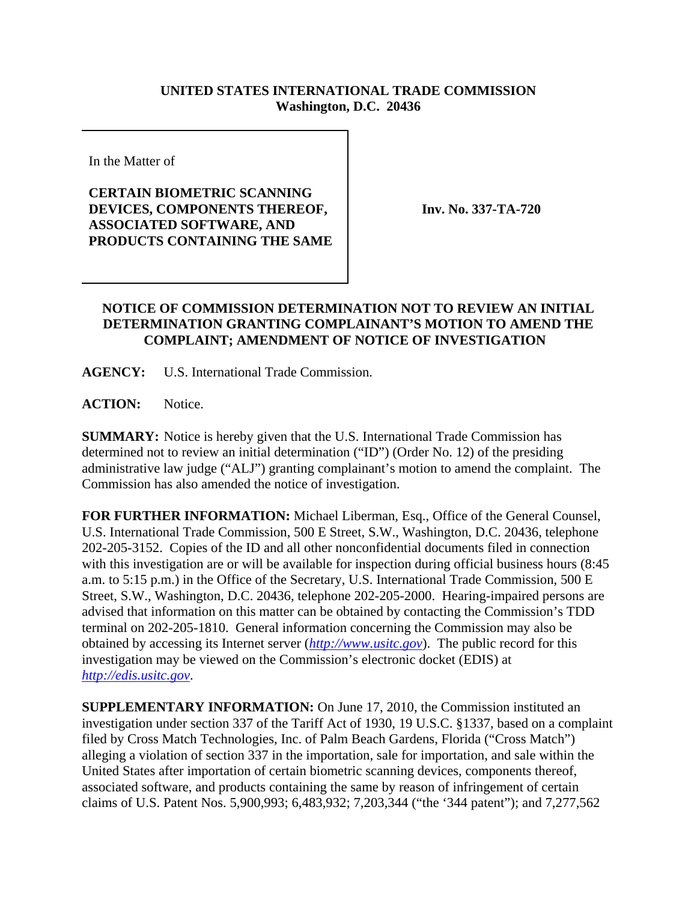## **UNITED STATES INTERNATIONAL TRADE COMMISSION Washington, D.C. 20436**

In the Matter of

## **CERTAIN BIOMETRIC SCANNING DEVICES, COMPONENTS THEREOF, ASSOCIATED SOFTWARE, AND PRODUCTS CONTAINING THE SAME**

**Inv. No. 337-TA-720**

## **NOTICE OF COMMISSION DETERMINATION NOT TO REVIEW AN INITIAL DETERMINATION GRANTING COMPLAINANT'S MOTION TO AMEND THE COMPLAINT; AMENDMENT OF NOTICE OF INVESTIGATION**

**AGENCY:** U.S. International Trade Commission.

ACTION: Notice.

**SUMMARY:** Notice is hereby given that the U.S. International Trade Commission has determined not to review an initial determination ("ID") (Order No. 12) of the presiding administrative law judge ("ALJ") granting complainant's motion to amend the complaint. The Commission has also amended the notice of investigation.

**FOR FURTHER INFORMATION:** Michael Liberman, Esq., Office of the General Counsel, U.S. International Trade Commission, 500 E Street, S.W., Washington, D.C. 20436, telephone 202-205-3152. Copies of the ID and all other nonconfidential documents filed in connection with this investigation are or will be available for inspection during official business hours (8:45 a.m. to 5:15 p.m.) in the Office of the Secretary, U.S. International Trade Commission, 500 E Street, S.W., Washington, D.C. 20436, telephone 202-205-2000. Hearing-impaired persons are advised that information on this matter can be obtained by contacting the Commission's TDD terminal on 202-205-1810. General information concerning the Commission may also be obtained by accessing its Internet server (*http://www.usitc.gov*). The public record for this investigation may be viewed on the Commission's electronic docket (EDIS) at *http://edis.usitc.gov*.

**SUPPLEMENTARY INFORMATION:** On June 17, 2010, the Commission instituted an investigation under section 337 of the Tariff Act of 1930, 19 U.S.C. §1337, based on a complaint filed by Cross Match Technologies, Inc. of Palm Beach Gardens, Florida ("Cross Match") alleging a violation of section 337 in the importation, sale for importation, and sale within the United States after importation of certain biometric scanning devices, components thereof, associated software, and products containing the same by reason of infringement of certain claims of U.S. Patent Nos. 5,900,993; 6,483,932; 7,203,344 ("the '344 patent"); and 7,277,562